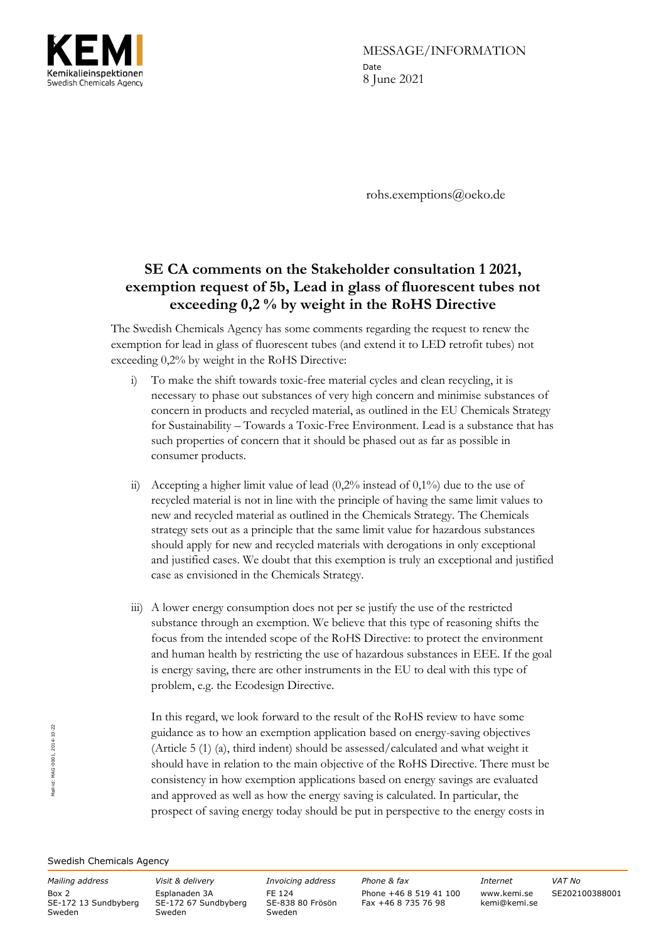

MESSAGE/INFORMATION Date 8 June 2021

rohs.exemptions@oeko.de

## **SE CA comments on the Stakeholder consultation 1 2021, exemption request of 5b, Lead in glass of fluorescent tubes not exceeding 0,2 % by weight in the RoHS Directive**

The Swedish Chemicals Agency has some comments regarding the request to renew the exemption for lead in glass of fluorescent tubes (and extend it to LED retrofit tubes) not exceeding 0,2% by weight in the RoHS Directive:

- i) To make the shift towards toxic-free material cycles and clean recycling, it is necessary to phase out substances of very high concern and minimise substances of concern in products and recycled material, as outlined in the EU Chemicals Strategy for Sustainability – Towards a Toxic-Free Environment. Lead is a substance that has such properties of concern that it should be phased out as far as possible in consumer products.
- ii) Accepting a higher limit value of lead  $(0,2\%$  instead of  $0,1\%$  due to the use of recycled material is not in line with the principle of having the same limit values to new and recycled material as outlined in the Chemicals Strategy. The Chemicals strategy sets out as a principle that the same limit value for hazardous substances should apply for new and recycled materials with derogations in only exceptional and justified cases. We doubt that this exemption is truly an exceptional and justified case as envisioned in the Chemicals Strategy.
- iii) A lower energy consumption does not per se justify the use of the restricted substance through an exemption. We believe that this type of reasoning shifts the focus from the intended scope of the RoHS Directive: to protect the environment and human health by restricting the use of hazardous substances in EEE. If the goal is energy saving, there are other instruments in the EU to deal with this type of problem, e.g. the Ecodesign Directive.

In this regard, we look forward to the result of the RoHS review to have some guidance as to how an exemption application based on energy-saving objectives (Article 5 (1) (a), third indent) should be assessed/calculated and what weight it should have in relation to the main objective of the RoHS Directive. There must be consistency in how exemption applications based on energy savings are evaluated and approved as well as how the energy saving is calculated. In particular, the prospect of saving energy today should be put in perspective to the energy costs in

Swedish Chemicals Agency

Box 2 SE-172 13 Sundbyberg Sweden

Esplanaden 3A SE-172 67 Sundbyberg Sweden

FE 124 SE-838 80 Frösön Sweden

*Mailing address Visit & delivery Invoicing address Phone & fax Internet VAT No* Phone +46 8 519 41 100 Fax +46 8 735 76 98

www.kemi.se kemi@kemi.se

SE202100388001